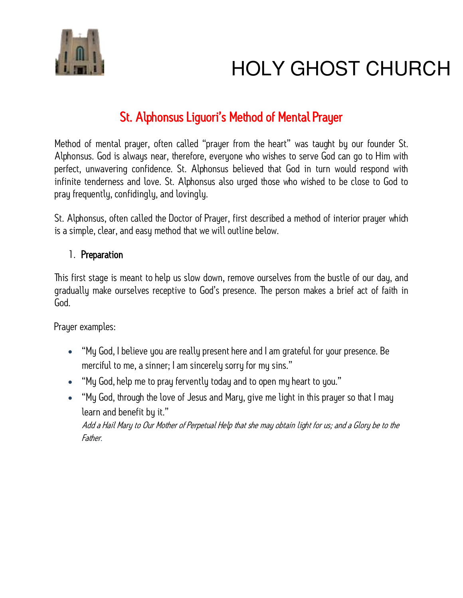

# **HOLY GHOST CHURCH**

### St. Alphonsus Liguori's Method of Mental Prayer

Method of mental prayer, often called "prayer from the heart" was taught by our founder St. Alphonsus. God is always near, therefore, everyone who wishes to serve God can go to Him with perfect, unwavering confidence. St. Alphonsus believed that God in turn would respond with infinite tenderness and love. St. Alphonsus also urged those who wished to be close to God to pray frequently, confidingly, and lovingly.

St. Alphonsus, often called the Doctor of Prayer, first described a method of interior prayer which is a simple, clear, and easy method that we will outline below.

#### 1. Preparation

This first stage is meant to help us slow down, remove ourselves from the bustle of our day, and gradually make ourselves receptive to God's presence. The person makes a brief act of faith in God.

Prayer examples:

- "My God, I believe you are really present here and I am grateful for your presence. Be merciful to me, a sinner; I am sincerely sorry for my sins."
- "My God, help me to pray fervently today and to open my heart to you."
- "My God, through the love of Jesus and Mary, give me light in this prayer so that I may learn and benefit by it."

Add a Hail Mary to Our Mother of Perpetual Help that she may obtain light for us; and a Glory be to the Father.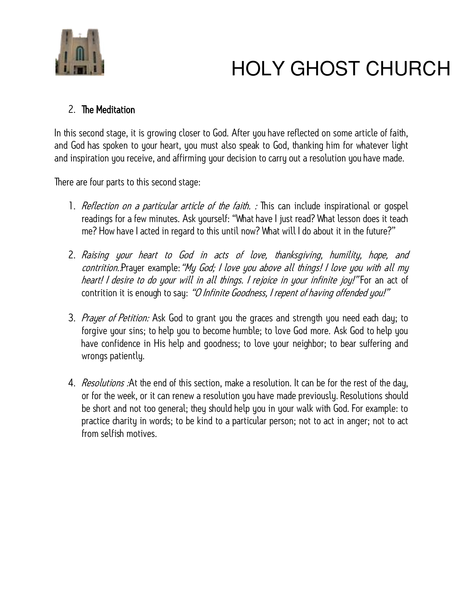

# **HOLY GHOST CHURCH**

#### 2. The Meditation

In this second stage, it is growing closer to God. After you have reflected on some article of faith, and God has spoken to your heart, you must also speak to God, thanking him for whatever light and inspiration you receive, and affirming your decision to carry out a resolution you have made.

There are four parts to this second stage:

- 1. Reflection on a particular article of the faith. : This can include inspirational or gospel readings for a few minutes. Ask yourself: "What have I just read? What lesson does it teach me? How have I acted in regard to this until now? What will I do about it in the future?"
- 2. Raising your heart to God in acts of love, thanksgiving, humility, hope, and contrition..Prayer example: "My God; I love you above all things! I love you with all my heart! I desire to do your will in all things. I rejoice in your infinite joy!" For an act of contrition it is enough to say: "O Infinite Goodness, I repent of having offended you!"
- 3. Prayer of Petition: Ask God to grant you the graces and strength you need each day; to forgive your sins; to help you to become humble; to love God more. Ask God to help you have confidence in His help and goodness; to love your neighbor; to bear suffering and wrongs patiently.
- 4. Resolutions : At the end of this section, make a resolution. It can be for the rest of the day, or for the week, or it can renew a resolution you have made previously. Resolutions should be short and not too general; they should help you in your walk with God. For example: to practice charity in words; to be kind to a particular person; not to act in anger; not to act from selfish motives.